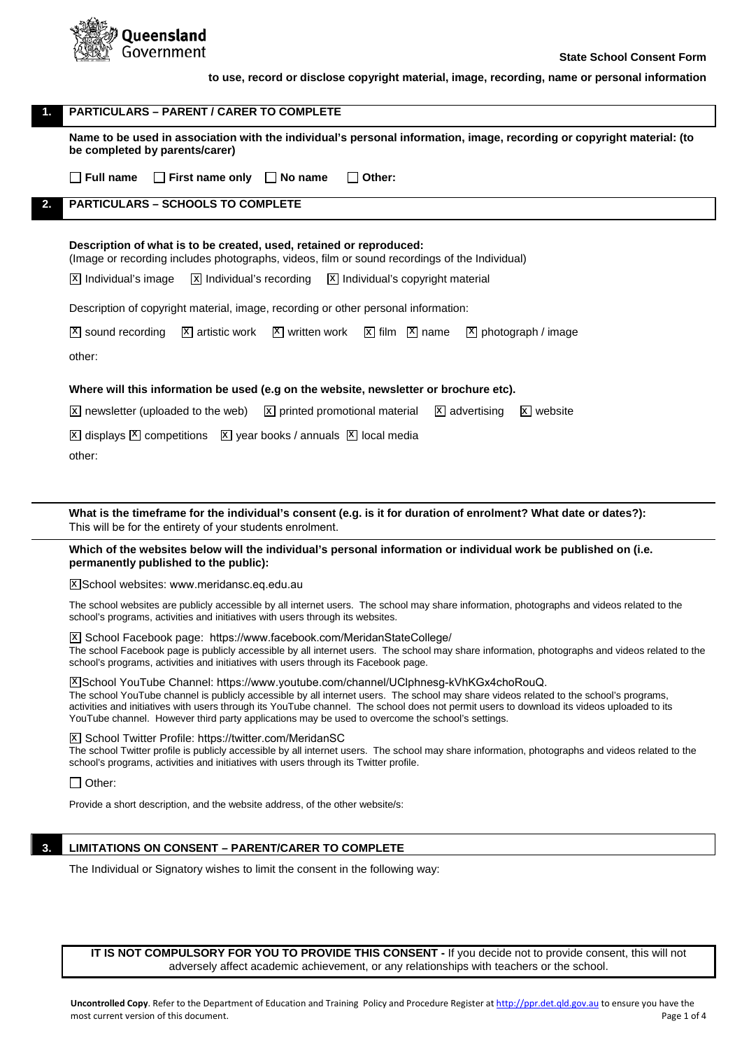

| <b>PARTICULARS – PARENT / CARER TO COMPLETE</b>                                                                                                                                                                                                                                                                                                                                                                                                                                                                                                                                          |  |  |
|------------------------------------------------------------------------------------------------------------------------------------------------------------------------------------------------------------------------------------------------------------------------------------------------------------------------------------------------------------------------------------------------------------------------------------------------------------------------------------------------------------------------------------------------------------------------------------------|--|--|
| Name to be used in association with the individual's personal information, image, recording or copyright material: (to<br>be completed by parents/carer)                                                                                                                                                                                                                                                                                                                                                                                                                                 |  |  |
| $\Box$ First name only $\Box$ No name<br>∣ Full name<br>Other:                                                                                                                                                                                                                                                                                                                                                                                                                                                                                                                           |  |  |
| <b>PARTICULARS – SCHOOLS TO COMPLETE</b>                                                                                                                                                                                                                                                                                                                                                                                                                                                                                                                                                 |  |  |
| Description of what is to be created, used, retained or reproduced:<br>(Image or recording includes photographs, videos, film or sound recordings of the Individual)<br>$ \overline{x} $ Individual's recording $ \overline{x} $ Individual's copyright material<br> X  Individual's image<br>Description of copyright material, image, recording or other personal information:<br>$\boxed{\text{X}}$ artistic work $\boxed{\text{X}}$ written work $\boxed{\text{X}}$ film $\boxed{\text{X}}$ name $\boxed{\text{X}}$ photograph / image<br>  <sup>X</sup>   sound recording<br>other: |  |  |
|                                                                                                                                                                                                                                                                                                                                                                                                                                                                                                                                                                                          |  |  |

## **Where will this information be used (e.g on the website, newsletter or brochure etc).**

newsletter (uploaded to the web)  $\boxed{\mathbb{X}}$  printed promotional material  $\boxed{\mathbb{X}}$  advertising  $\boxed{\mathbb{X}}$  website X newsletter (uploaded to the web)

 $\overline{x}$  displays  $\overline{x}$  competitions  $\overline{x}$  year books / annuals  $\overline{x}$  local media

other:

**What is the timeframe for the individual's consent (e.g. is it for duration of enrolment? What date or dates?):** This will be for the entirety of your students enrolment.

**Which of the websites below will the individual's personal information or individual work be published on (i.e. permanently published to the public):** 

<u>X</u>]School websites: [www.meridansc.eq.edu.au](http://www.meridansc.eq.edu.au)

The school websites are publicly accessible by all internet users. The school may share information, photographs and videos related to the school's programs, activities and initiatives with users through its websites.

X School Facebook page:<https://www.facebook.com/MeridanStateCollege/> The school Facebook page is publicly accessible by all internet users. The school may share information, photographs and videos related to the school's programs, activities and initiatives with users through its Facebook page.

School YouTube Channel: [https://www.youtube.com/channel/UClphnesg-kVhKGx4choRouQ.](https://www.youtube.com/channel/UClphnesg-kVhKGx4choRouQ) x The school YouTube channel is publicly accessible by all internet users. The school may share videos related to the school's programs, activities and initiatives with users through its YouTube channel. The school does not permit users to download its videos uploaded to its YouTube channel. However third party applications may be used to overcome the school's settings.

X School Twitter Profile: [https://twitter.com/MeridanSC](https://twitter.com/MeridanSCThe)

The school Twitter profile is publicly accessible by all internet users. The school may share information, photographs and videos related to the school's programs, activities and initiatives with users through its Twitter profile.

 $\Box$  Other:

Provide a short description, and the website address, of the other website/s:

# **3. LIMITATIONS ON CONSENT – PARENT/CARER TO COMPLETE**

The Individual or Signatory wishes to limit the consent in the following way:

**IT IS NOT COMPULSORY FOR YOU TO PROVIDE THIS CONSENT -** If you decide not to provide consent, this will not adversely affect academic achievement, or any relationships with teachers or the school.

**Uncontrolled Copy**. Refer to the Department of Education and Training Policy and Procedure Register a[t http://ppr.det.qld.gov.au](http://ppr.det.qld.gov.au/) to ensure you have the most current version of this document. The property of the state of 4 and 2 of 4 and 2 of 4 and 2 of 4 and 2 of 4 and 2 of 4 and 2 of 4 and 2 of 4 and 2 of 4 and 2 of 4 and 2 of 4 and 2 of 4 and 2 of 4 and 2 of 4 and 2 of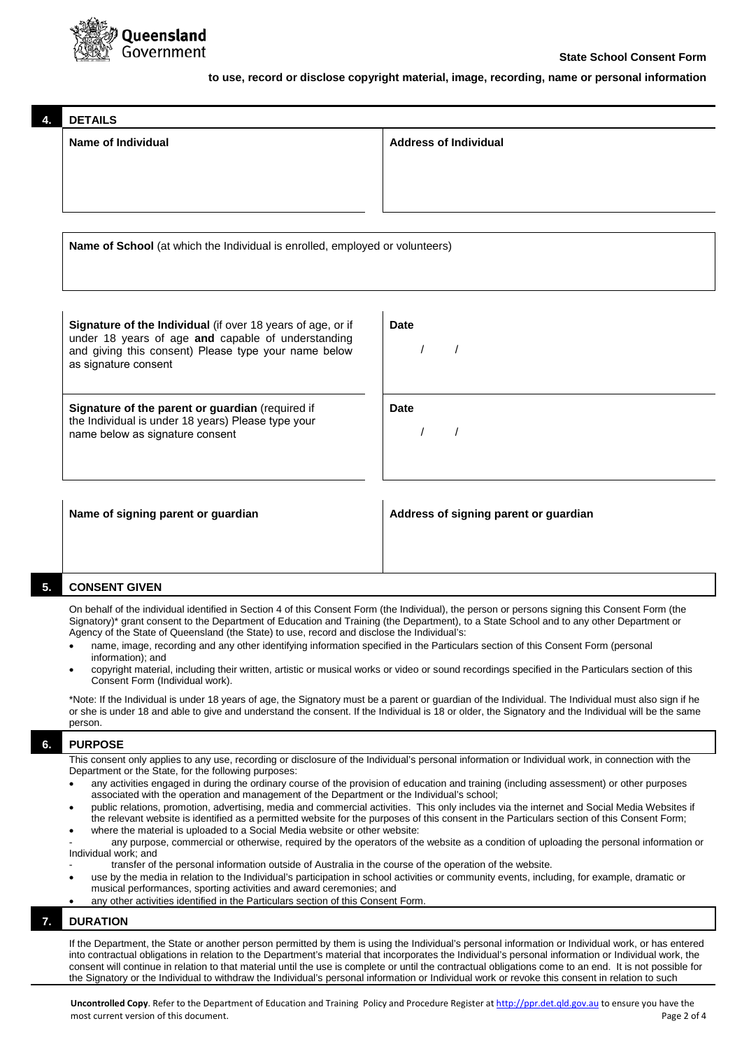

|  | <b>DETAILS</b>                                                                                                    |                                       |  |
|--|-------------------------------------------------------------------------------------------------------------------|---------------------------------------|--|
|  | Name of Individual                                                                                                | <b>Address of Individual</b>          |  |
|  |                                                                                                                   |                                       |  |
|  |                                                                                                                   |                                       |  |
|  |                                                                                                                   |                                       |  |
|  | Name of School (at which the Individual is enrolled, employed or volunteers)                                      |                                       |  |
|  |                                                                                                                   |                                       |  |
|  |                                                                                                                   |                                       |  |
|  |                                                                                                                   |                                       |  |
|  | Signature of the Individual (if over 18 years of age, or if<br>under 18 years of age and capable of understanding | <b>Date</b>                           |  |
|  | and giving this consent) Please type your name below<br>as signature consent                                      |                                       |  |
|  |                                                                                                                   |                                       |  |
|  | Signature of the parent or guardian (required if                                                                  | <b>Date</b>                           |  |
|  | the Individual is under 18 years) Please type your<br>name below as signature consent                             |                                       |  |
|  |                                                                                                                   |                                       |  |
|  |                                                                                                                   |                                       |  |
|  | Name of signing parent or guardian                                                                                | Address of signing parent or guardian |  |

## **5. CONSENT GIVEN**

On behalf of the individual identified in Section 4 of this Consent Form (the Individual), the person or persons signing this Consent Form (the Signatory)\* grant consent to the Department of Education and Training (the Department), to a State School and to any other Department or Agency of the State of Queensland (the State) to use, record and disclose the Individual's:

- name, image, recording and any other identifying information specified in the Particulars section of this Consent Form (personal information); and
- copyright material, including their written, artistic or musical works or video or sound recordings specified in the Particulars section of this Consent Form (Individual work).

\*Note: If the Individual is under 18 years of age, the Signatory must be a parent or guardian of the Individual. The Individual must also sign if he or she is under 18 and able to give and understand the consent. If the Individual is 18 or older, the Signatory and the Individual will be the same person.

## **6. PURPOSE**

This consent only applies to any use, recording or disclosure of the Individual's personal information or Individual work, in connection with the Department or the State, for the following purposes:

- any activities engaged in during the ordinary course of the provision of education and training (including assessment) or other purposes associated with the operation and management of the Department or the Individual's school;
- public relations, promotion, advertising, media and commercial activities. This only includes via the internet and Social Media Websites if the relevant website is identified as a permitted website for the purposes of this consent in the Particulars section of this Consent Form; where the material is uploaded to a Social Media website or other website:

any purpose, commercial or otherwise, required by the operators of the website as a condition of uploading the personal information or Individual work; and

- transfer of the personal information outside of Australia in the course of the operation of the website.
- use by the media in relation to the Individual's participation in school activities or community events, including, for example, dramatic or musical performances, sporting activities and award ceremonies; and
- any other activities identified in the Particulars section of this Consent Form

## **7. DURATION**

If the Department, the State or another person permitted by them is using the Individual's personal information or Individual work, or has entered into contractual obligations in relation to the Department's material that incorporates the Individual's personal information or Individual work, the consent will continue in relation to that material until the use is complete or until the contractual obligations come to an end. It is not possible for the Signatory or the Individual to withdraw the Individual's personal information or Individual work or revoke this consent in relation to such

**Uncontrolled Copy**. Refer to the Department of Education and Training Policy and Procedure Register a[t http://ppr.det.qld.gov.au](http://ppr.det.qld.gov.au/) to ensure you have the most current version of this document. The page 2 of 4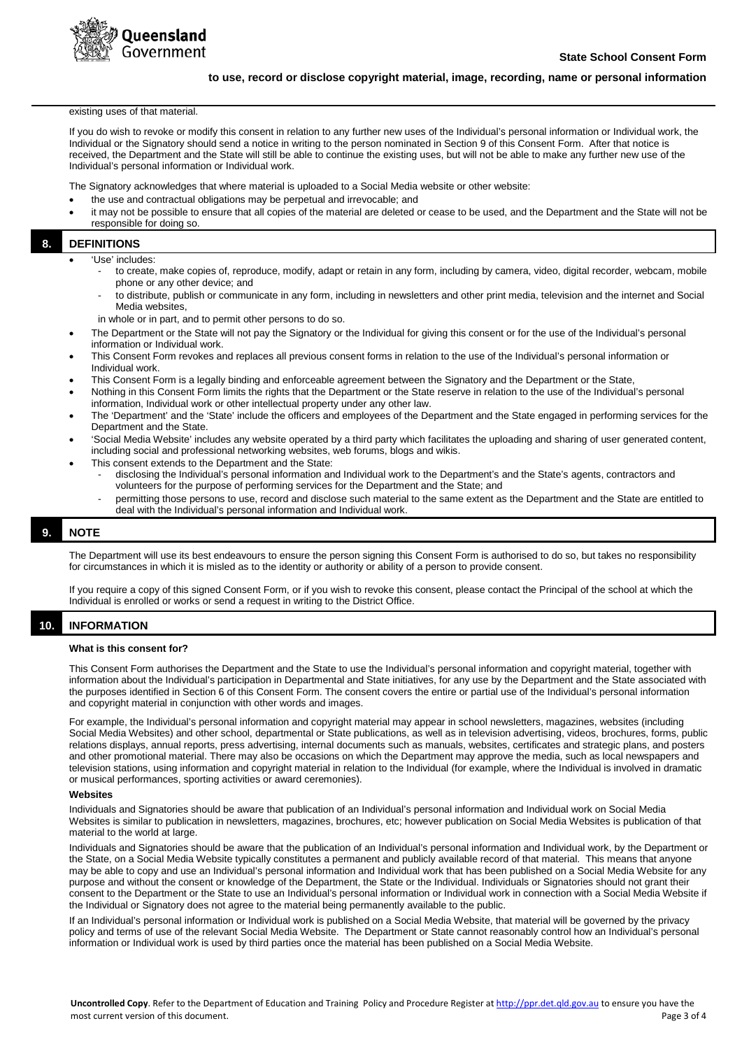

existing uses of that material.

If you do wish to revoke or modify this consent in relation to any further new uses of the Individual's personal information or Individual work, the Individual or the Signatory should send a notice in writing to the person nominated in Section 9 of this Consent Form. After that notice is received, the Department and the State will still be able to continue the existing uses, but will not be able to make any further new use of the Individual's personal information or Individual work.

The Signatory acknowledges that where material is uploaded to a Social Media website or other website:

- the use and contractual obligations may be perpetual and irrevocable; and
- it may not be possible to ensure that all copies of the material are deleted or cease to be used, and the Department and the State will not be responsible for doing so.

## **8. DEFINITIONS**

- 'Use' includes:
	- to create, make copies of, reproduce, modify, adapt or retain in any form, including by camera, video, digital recorder, webcam, mobile phone or any other device; and
	- to distribute, publish or communicate in any form, including in newsletters and other print media, television and the internet and Social Media websites,
	- in whole or in part, and to permit other persons to do so.
- The Department or the State will not pay the Signatory or the Individual for giving this consent or for the use of the Individual's personal information or Individual work.
- This Consent Form revokes and replaces all previous consent forms in relation to the use of the Individual's personal information or Individual work.
- This Consent Form is a legally binding and enforceable agreement between the Signatory and the Department or the State,
- Nothing in this Consent Form limits the rights that the Department or the State reserve in relation to the use of the Individual's personal information, Individual work or other intellectual property under any other law.
- The 'Department' and the 'State' include the officers and employees of the Department and the State engaged in performing services for the Department and the State.
- 'Social Media Website' includes any website operated by a third party which facilitates the uploading and sharing of user generated content, including social and professional networking websites, web forums, blogs and wikis.
- This consent extends to the Department and the State:
	- disclosing the Individual's personal information and Individual work to the Department's and the State's agents, contractors and volunteers for the purpose of performing services for the Department and the State; and
	- permitting those persons to use, record and disclose such material to the same extent as the Department and the State are entitled to deal with the Individual's personal information and Individual work.

## **9. NOTE**

The Department will use its best endeavours to ensure the person signing this Consent Form is authorised to do so, but takes no responsibility for circumstances in which it is misled as to the identity or authority or ability of a person to provide consent.

If you require a copy of this signed Consent Form, or if you wish to revoke this consent, please contact the Principal of the school at which the Individual is enrolled or works or send a request in writing to the District Office.

## **10. INFORMATION**

#### **What is this consent for?**

This Consent Form authorises the Department and the State to use the Individual's personal information and copyright material, together with information about the Individual's participation in Departmental and State initiatives, for any use by the Department and the State associated with the purposes identified in Section 6 of this Consent Form. The consent covers the entire or partial use of the Individual's personal information and copyright material in conjunction with other words and images.

For example, the Individual's personal information and copyright material may appear in school newsletters, magazines, websites (including Social Media Websites) and other school, departmental or State publications, as well as in television advertising, videos, brochures, forms, public relations displays, annual reports, press advertising, internal documents such as manuals, websites, certificates and strategic plans, and posters and other promotional material. There may also be occasions on which the Department may approve the media, such as local newspapers and television stations, using information and copyright material in relation to the Individual (for example, where the Individual is involved in dramatic or musical performances, sporting activities or award ceremonies).

#### **Websites**

Individuals and Signatories should be aware that publication of an Individual's personal information and Individual work on Social Media Websites is similar to publication in newsletters, magazines, brochures, etc; however publication on Social Media Websites is publication of that material to the world at large.

Individuals and Signatories should be aware that the publication of an Individual's personal information and Individual work, by the Department or the State, on a Social Media Website typically constitutes a permanent and publicly available record of that material. This means that anyone may be able to copy and use an Individual's personal information and Individual work that has been published on a Social Media Website for any purpose and without the consent or knowledge of the Department, the State or the Individual. Individuals or Signatories should not grant their consent to the Department or the State to use an Individual's personal information or Individual work in connection with a Social Media Website if the Individual or Signatory does not agree to the material being permanently available to the public.

If an Individual's personal information or Individual work is published on a Social Media Website, that material will be governed by the privacy policy and terms of use of the relevant Social Media Website. The Department or State cannot reasonably control how an Individual's personal information or Individual work is used by third parties once the material has been published on a Social Media Website.